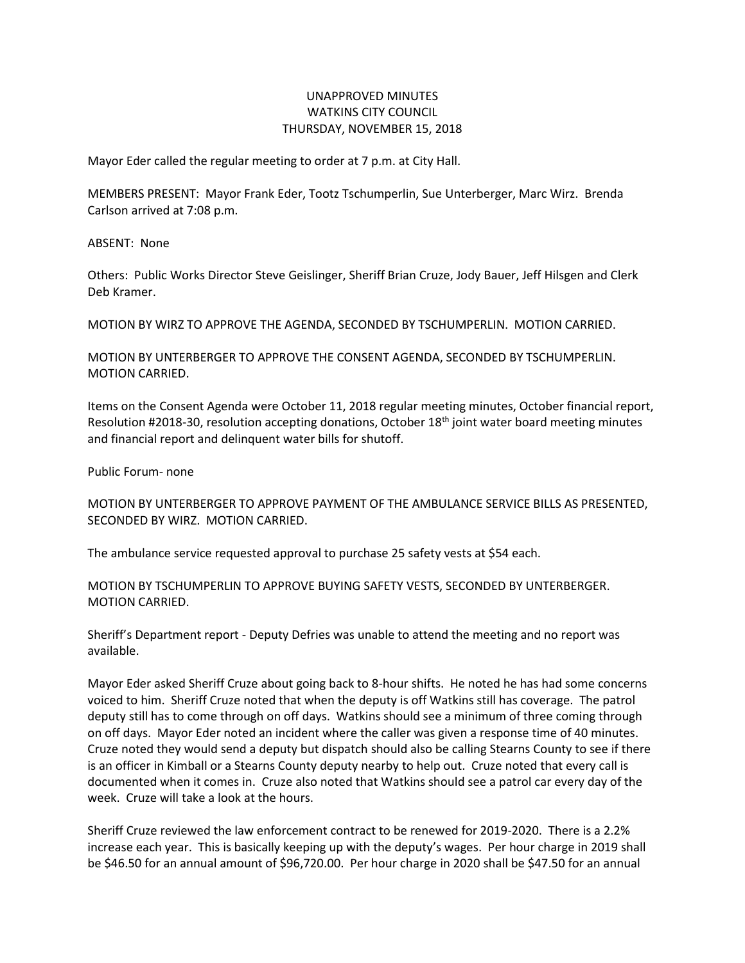## UNAPPROVED MINUTES WATKINS CITY COUNCIL THURSDAY, NOVEMBER 15, 2018

Mayor Eder called the regular meeting to order at 7 p.m. at City Hall.

MEMBERS PRESENT: Mayor Frank Eder, Tootz Tschumperlin, Sue Unterberger, Marc Wirz. Brenda Carlson arrived at 7:08 p.m.

ABSENT: None

Others: Public Works Director Steve Geislinger, Sheriff Brian Cruze, Jody Bauer, Jeff Hilsgen and Clerk Deb Kramer.

MOTION BY WIRZ TO APPROVE THE AGENDA, SECONDED BY TSCHUMPERLIN. MOTION CARRIED.

MOTION BY UNTERBERGER TO APPROVE THE CONSENT AGENDA, SECONDED BY TSCHUMPERLIN. MOTION CARRIED.

Items on the Consent Agenda were October 11, 2018 regular meeting minutes, October financial report, Resolution #2018-30, resolution accepting donations, October 18th joint water board meeting minutes and financial report and delinquent water bills for shutoff.

Public Forum- none

MOTION BY UNTERBERGER TO APPROVE PAYMENT OF THE AMBULANCE SERVICE BILLS AS PRESENTED, SECONDED BY WIRZ. MOTION CARRIED.

The ambulance service requested approval to purchase 25 safety vests at \$54 each.

MOTION BY TSCHUMPERLIN TO APPROVE BUYING SAFETY VESTS, SECONDED BY UNTERBERGER. MOTION CARRIED.

Sheriff's Department report - Deputy Defries was unable to attend the meeting and no report was available.

Mayor Eder asked Sheriff Cruze about going back to 8-hour shifts. He noted he has had some concerns voiced to him. Sheriff Cruze noted that when the deputy is off Watkins still has coverage. The patrol deputy still has to come through on off days. Watkins should see a minimum of three coming through on off days. Mayor Eder noted an incident where the caller was given a response time of 40 minutes. Cruze noted they would send a deputy but dispatch should also be calling Stearns County to see if there is an officer in Kimball or a Stearns County deputy nearby to help out. Cruze noted that every call is documented when it comes in. Cruze also noted that Watkins should see a patrol car every day of the week. Cruze will take a look at the hours.

Sheriff Cruze reviewed the law enforcement contract to be renewed for 2019-2020. There is a 2.2% increase each year. This is basically keeping up with the deputy's wages. Per hour charge in 2019 shall be \$46.50 for an annual amount of \$96,720.00. Per hour charge in 2020 shall be \$47.50 for an annual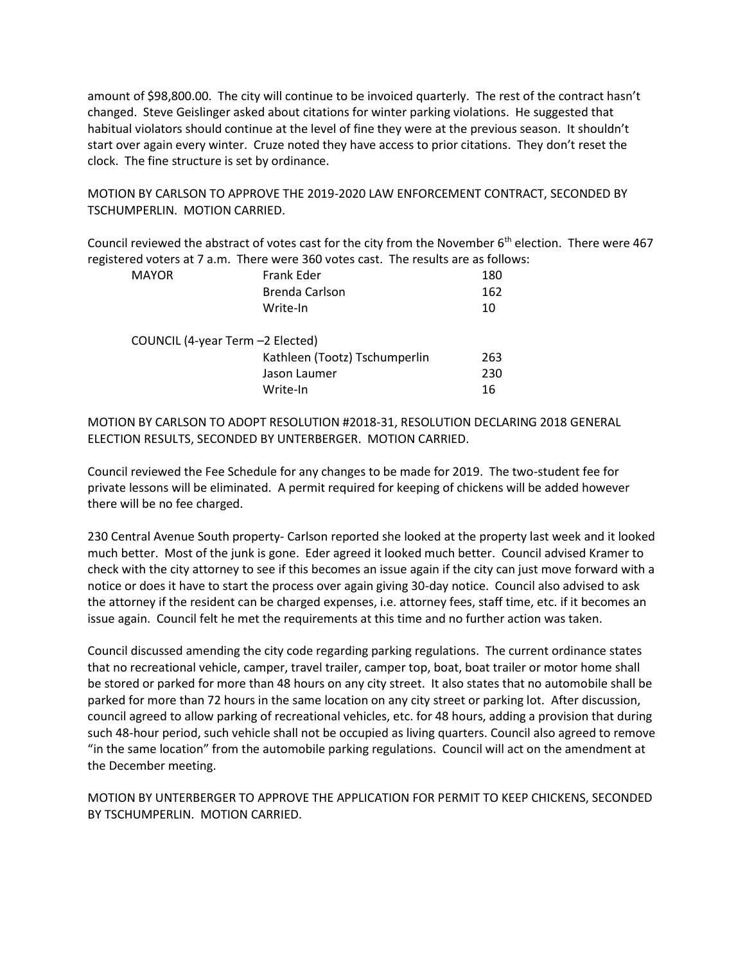amount of \$98,800.00. The city will continue to be invoiced quarterly. The rest of the contract hasn't changed. Steve Geislinger asked about citations for winter parking violations. He suggested that habitual violators should continue at the level of fine they were at the previous season. It shouldn't start over again every winter. Cruze noted they have access to prior citations. They don't reset the clock. The fine structure is set by ordinance.

MOTION BY CARLSON TO APPROVE THE 2019-2020 LAW ENFORCEMENT CONTRACT, SECONDED BY TSCHUMPERLIN. MOTION CARRIED.

Council reviewed the abstract of votes cast for the city from the November 6<sup>th</sup> election. There were 467 registered voters at 7 a.m. There were 360 votes cast. The results are as follows:

| <b>MAYOR</b> | Frank Eder                       | 180 |
|--------------|----------------------------------|-----|
|              | Brenda Carlson                   | 162 |
|              | Write-In                         | 10  |
|              | COUNCIL (4-year Term -2 Elected) |     |
|              | Kathleen (Tootz) Tschumperlin    | 263 |
|              | Jason Laumer                     | 230 |
|              | Write-In                         | 16  |

MOTION BY CARLSON TO ADOPT RESOLUTION #2018-31, RESOLUTION DECLARING 2018 GENERAL ELECTION RESULTS, SECONDED BY UNTERBERGER. MOTION CARRIED.

Council reviewed the Fee Schedule for any changes to be made for 2019. The two-student fee for private lessons will be eliminated. A permit required for keeping of chickens will be added however there will be no fee charged.

230 Central Avenue South property- Carlson reported she looked at the property last week and it looked much better. Most of the junk is gone. Eder agreed it looked much better. Council advised Kramer to check with the city attorney to see if this becomes an issue again if the city can just move forward with a notice or does it have to start the process over again giving 30-day notice. Council also advised to ask the attorney if the resident can be charged expenses, i.e. attorney fees, staff time, etc. if it becomes an issue again. Council felt he met the requirements at this time and no further action was taken.

Council discussed amending the city code regarding parking regulations. The current ordinance states that no recreational vehicle, camper, travel trailer, camper top, boat, boat trailer or motor home shall be stored or parked for more than 48 hours on any city street. It also states that no automobile shall be parked for more than 72 hours in the same location on any city street or parking lot. After discussion, council agreed to allow parking of recreational vehicles, etc. for 48 hours, adding a provision that during such 48-hour period, such vehicle shall not be occupied as living quarters. Council also agreed to remove "in the same location" from the automobile parking regulations. Council will act on the amendment at the December meeting.

MOTION BY UNTERBERGER TO APPROVE THE APPLICATION FOR PERMIT TO KEEP CHICKENS, SECONDED BY TSCHUMPERLIN. MOTION CARRIED.